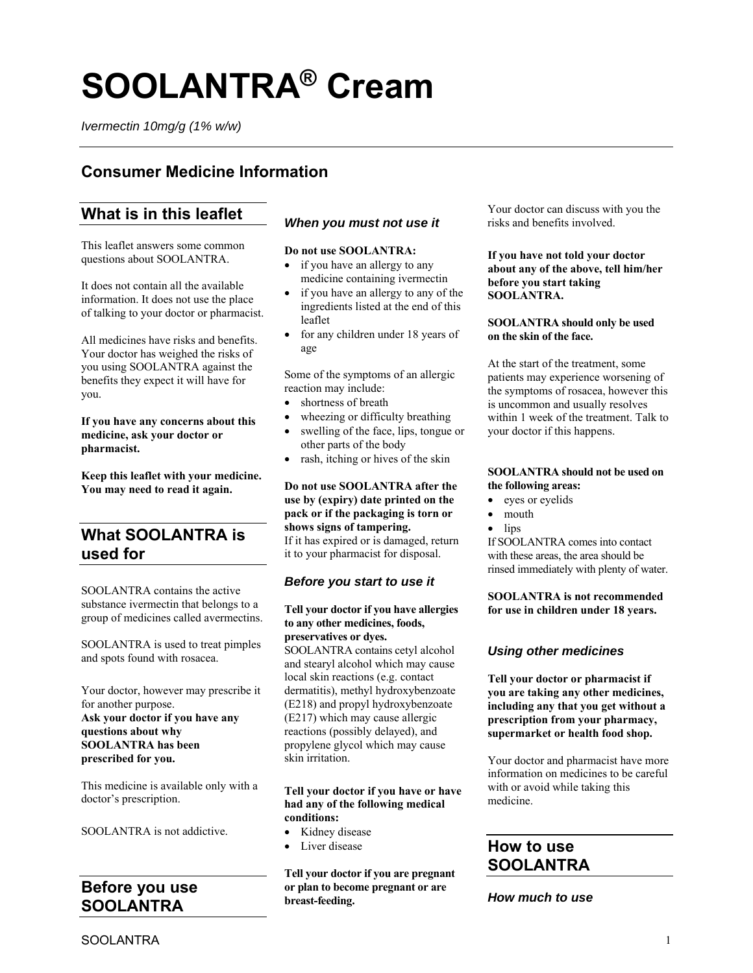# **SOOLANTRA® Cream**

*Ivermectin 10mg/g (1% w/w)* 

# **Consumer Medicine Information**

# **What is in this leaflet**

This leaflet answers some common questions about SOOLANTRA.

It does not contain all the available information. It does not use the place of talking to your doctor or pharmacist.

All medicines have risks and benefits. Your doctor has weighed the risks of you using SOOLANTRA against the benefits they expect it will have for you.

**If you have any concerns about this medicine, ask your doctor or pharmacist.** 

**Keep this leaflet with your medicine. You may need to read it again.** 

# **What SOOLANTRA is used for**

SOOLANTRA contains the active substance ivermectin that belongs to a group of medicines called avermectins.

SOOLANTRA is used to treat pimples and spots found with rosacea.

Your doctor, however may prescribe it for another purpose. **Ask your doctor if you have any questions about why SOOLANTRA has been prescribed for you.** 

This medicine is available only with a doctor's prescription.

SOOLANTRA is not addictive.

# **Before you use SOOLANTRA**

# *When you must not use it*

#### **Do not use SOOLANTRA:**

- if you have an allergy to any medicine containing ivermectin
- if you have an allergy to any of the ingredients listed at the end of this leaflet
- for any children under 18 years of age

Some of the symptoms of an allergic reaction may include:

- shortness of breath
- wheezing or difficulty breathing
- swelling of the face, lips, tongue or other parts of the body
- rash, itching or hives of the skin

**Do not use SOOLANTRA after the use by (expiry) date printed on the pack or if the packaging is torn or shows signs of tampering.**  If it has expired or is damaged, return

it to your pharmacist for disposal.

# *Before you start to use it*

#### **Tell your doctor if you have allergies to any other medicines, foods, preservatives or dyes.**

SOOLANTRA contains cetyl alcohol and stearyl alcohol which may cause local skin reactions (e.g. contact dermatitis), methyl hydroxybenzoate (E218) and propyl hydroxybenzoate (E217) which may cause allergic reactions (possibly delayed), and propylene glycol which may cause skin irritation.

### **Tell your doctor if you have or have had any of the following medical conditions:**

- Kidney disease
- Liver disease

**Tell your doctor if you are pregnant or plan to become pregnant or are breast-feeding.** 

Your doctor can discuss with you the risks and benefits involved.

**If you have not told your doctor about any of the above, tell him/her before you start taking SOOLANTRA.** 

#### **SOOLANTRA should only be used on the skin of the face.**

At the start of the treatment, some patients may experience worsening of the symptoms of rosacea, however this is uncommon and usually resolves within 1 week of the treatment. Talk to your doctor if this happens.

#### **SOOLANTRA should not be used on the following areas:**

- eyes or eyelids
- mouth
- lips

If SOOLANTRA comes into contact with these areas, the area should be rinsed immediately with plenty of water.

**SOOLANTRA is not recommended for use in children under 18 years.** 

# *Using other medicines*

**Tell your doctor or pharmacist if you are taking any other medicines, including any that you get without a prescription from your pharmacy, supermarket or health food shop.** 

Your doctor and pharmacist have more information on medicines to be careful with or avoid while taking this medicine.

# **How to use SOOLANTRA**

*How much to use*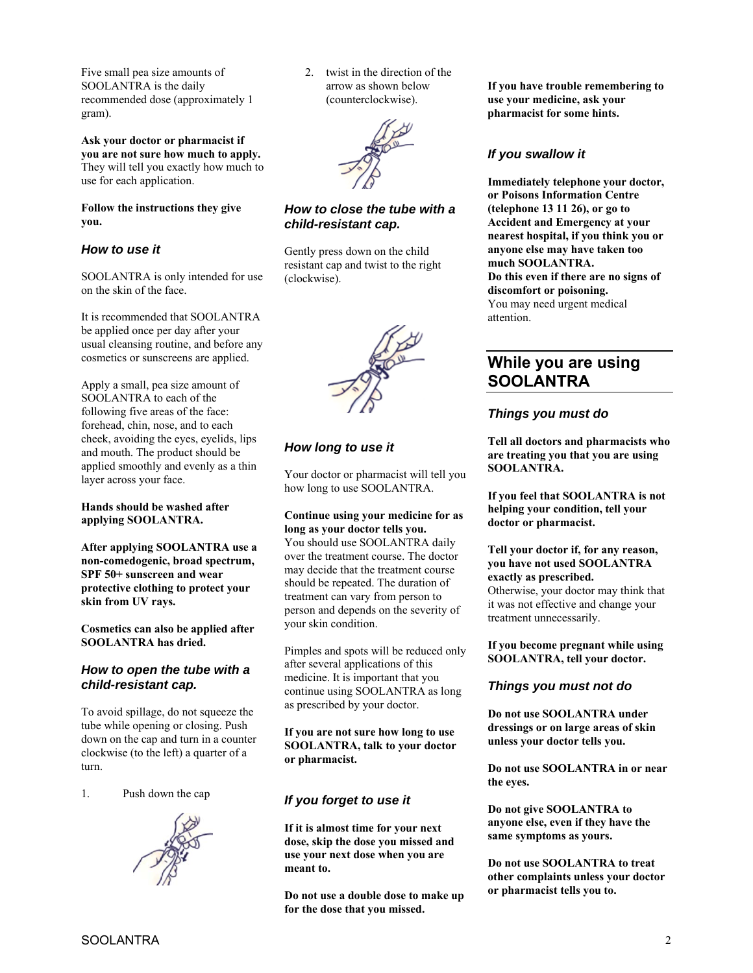Five small pea size amounts of SOOLANTRA is the daily recommended dose (approximately 1 gram).

**Ask your doctor or pharmacist if you are not sure how much to apply.**  They will tell you exactly how much to use for each application.

**Follow the instructions they give you.** 

## *How to use it*

SOOLANTRA is only intended for use on the skin of the face.

It is recommended that SOOLANTRA be applied once per day after your usual cleansing routine, and before any cosmetics or sunscreens are applied.

Apply a small, pea size amount of SOOLANTRA to each of the following five areas of the face: forehead, chin, nose, and to each cheek, avoiding the eyes, eyelids, lips and mouth. The product should be applied smoothly and evenly as a thin layer across your face.

#### **Hands should be washed after applying SOOLANTRA.**

**After applying SOOLANTRA use a non-comedogenic, broad spectrum, SPF 50+ sunscreen and wear protective clothing to protect your skin from UV rays.** 

**Cosmetics can also be applied after SOOLANTRA has dried.** 

## *How to open the tube with a child-resistant cap.*

To avoid spillage, do not squeeze the tube while opening or closing. Push down on the cap and turn in a counter clockwise (to the left) a quarter of a turn.

1. Push down the cap



2. twist in the direction of the arrow as shown below (counterclockwise).



## *How to close the tube with a child-resistant cap.*

Gently press down on the child resistant cap and twist to the right (clockwise).



# *How long to use it*

Your doctor or pharmacist will tell you how long to use SOOLANTRA.

#### **Continue using your medicine for as long as your doctor tells you.**

You should use SOOLANTRA daily over the treatment course. The doctor may decide that the treatment course should be repeated. The duration of treatment can vary from person to person and depends on the severity of your skin condition.

Pimples and spots will be reduced only after several applications of this medicine. It is important that you continue using SOOLANTRA as long as prescribed by your doctor.

**If you are not sure how long to use SOOLANTRA, talk to your doctor or pharmacist.** 

# *If you forget to use it*

**If it is almost time for your next dose, skip the dose you missed and use your next dose when you are meant to.** 

**Do not use a double dose to make up for the dose that you missed.** 

**If you have trouble remembering to use your medicine, ask your pharmacist for some hints.** 

# *If you swallow it*

**Immediately telephone your doctor, or Poisons Information Centre (telephone 13 11 26), or go to Accident and Emergency at your nearest hospital, if you think you or anyone else may have taken too much SOOLANTRA. Do this even if there are no signs of discomfort or poisoning.**  You may need urgent medical attention.

# **While you are using SOOLANTRA**

# *Things you must do*

**Tell all doctors and pharmacists who are treating you that you are using SOOLANTRA.** 

**If you feel that SOOLANTRA is not helping your condition, tell your doctor or pharmacist.** 

#### **Tell your doctor if, for any reason, you have not used SOOLANTRA exactly as prescribed.**

Otherwise, your doctor may think that it was not effective and change your treatment unnecessarily.

**If you become pregnant while using SOOLANTRA, tell your doctor.** 

# *Things you must not do*

**Do not use SOOLANTRA under dressings or on large areas of skin unless your doctor tells you.** 

**Do not use SOOLANTRA in or near the eyes.** 

**Do not give SOOLANTRA to anyone else, even if they have the same symptoms as yours.** 

**Do not use SOOLANTRA to treat other complaints unless your doctor or pharmacist tells you to.**